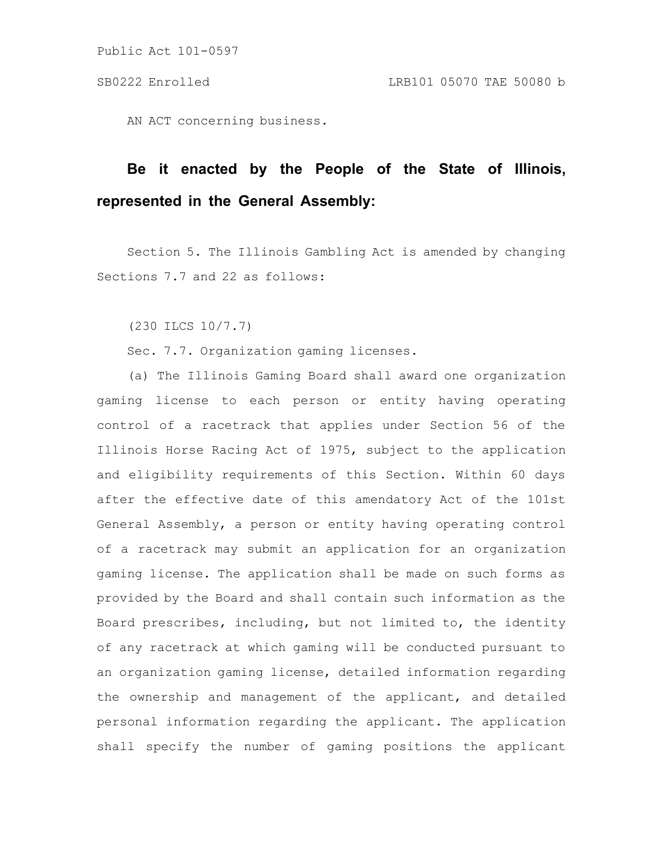AN ACT concerning business.

# **Be it enacted by the People of the State of Illinois, represented in the General Assembly:**

Section 5. The Illinois Gambling Act is amended by changing Sections 7.7 and 22 as follows:

(230 ILCS 10/7.7)

Sec. 7.7. Organization gaming licenses.

(a) The Illinois Gaming Board shall award one organization gaming license to each person or entity having operating control of a racetrack that applies under Section 56 of the Illinois Horse Racing Act of 1975, subject to the application and eligibility requirements of this Section. Within 60 days after the effective date of this amendatory Act of the 101st General Assembly, a person or entity having operating control of a racetrack may submit an application for an organization gaming license. The application shall be made on such forms as provided by the Board and shall contain such information as the Board prescribes, including, but not limited to, the identity of any racetrack at which gaming will be conducted pursuant to an organization gaming license, detailed information regarding the ownership and management of the applicant, and detailed personal information regarding the applicant. The application shall specify the number of gaming positions the applicant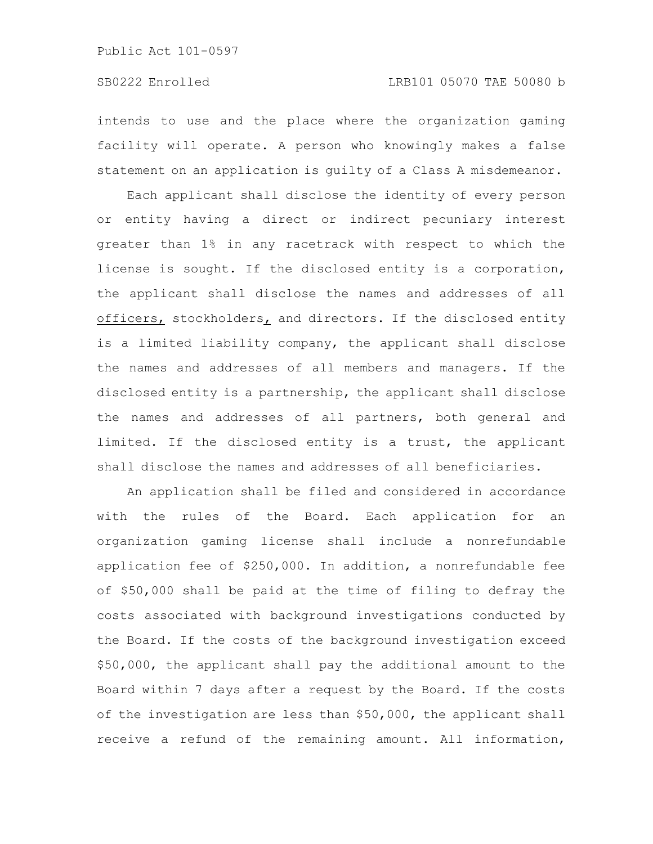intends to use and the place where the organization gaming facility will operate. A person who knowingly makes a false statement on an application is guilty of a Class A misdemeanor.

Each applicant shall disclose the identity of every person or entity having a direct or indirect pecuniary interest greater than 1% in any racetrack with respect to which the license is sought. If the disclosed entity is a corporation, the applicant shall disclose the names and addresses of all officers, stockholders, and directors. If the disclosed entity is a limited liability company, the applicant shall disclose the names and addresses of all members and managers. If the disclosed entity is a partnership, the applicant shall disclose the names and addresses of all partners, both general and limited. If the disclosed entity is a trust, the applicant shall disclose the names and addresses of all beneficiaries.

An application shall be filed and considered in accordance with the rules of the Board. Each application for an organization gaming license shall include a nonrefundable application fee of \$250,000. In addition, a nonrefundable fee of \$50,000 shall be paid at the time of filing to defray the costs associated with background investigations conducted by the Board. If the costs of the background investigation exceed \$50,000, the applicant shall pay the additional amount to the Board within 7 days after a request by the Board. If the costs of the investigation are less than \$50,000, the applicant shall receive a refund of the remaining amount. All information,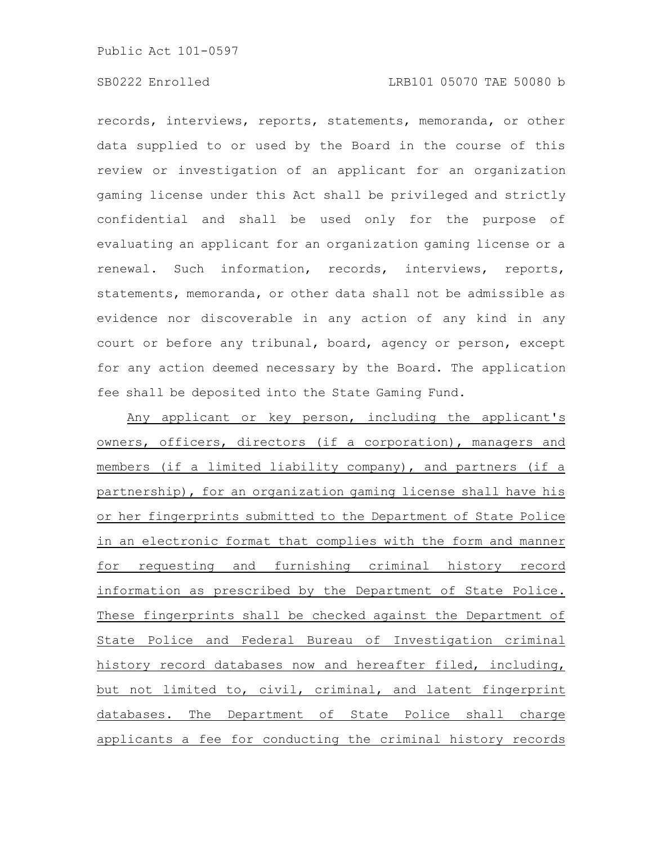## SB0222 Enrolled LRB101 05070 TAE 50080 b

records, interviews, reports, statements, memoranda, or other data supplied to or used by the Board in the course of this review or investigation of an applicant for an organization gaming license under this Act shall be privileged and strictly confidential and shall be used only for the purpose of evaluating an applicant for an organization gaming license or a renewal. Such information, records, interviews, reports, statements, memoranda, or other data shall not be admissible as evidence nor discoverable in any action of any kind in any court or before any tribunal, board, agency or person, except for any action deemed necessary by the Board. The application fee shall be deposited into the State Gaming Fund.

Any applicant or key person, including the applicant's owners, officers, directors (if a corporation), managers and members (if a limited liability company), and partners (if a partnership), for an organization gaming license shall have his or her fingerprints submitted to the Department of State Police in an electronic format that complies with the form and manner for requesting and furnishing criminal history record information as prescribed by the Department of State Police. These fingerprints shall be checked against the Department of State Police and Federal Bureau of Investigation criminal history record databases now and hereafter filed, including, but not limited to, civil, criminal, and latent fingerprint databases. The Department of State Police shall charge applicants a fee for conducting the criminal history records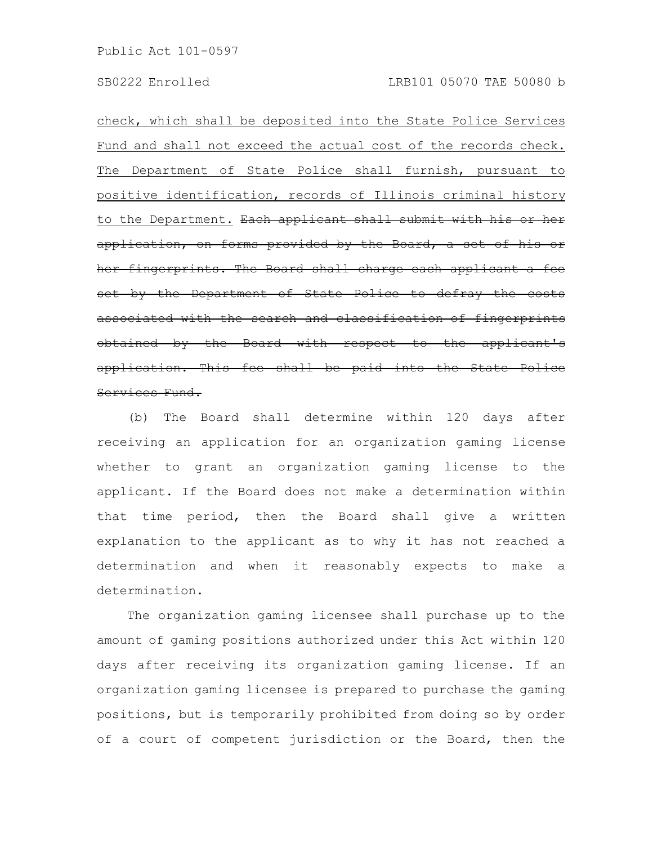check, which shall be deposited into the State Police Services Fund and shall not exceed the actual cost of the records check. The Department of State Police shall furnish, pursuant to positive identification, records of Illinois criminal history to the Department. Each applicant shall submit with his or her application, on forms provided by the Board, a set of his or her fingerprints. The Board shall charge each applicant a fee set by the Department of State Police to defray the costs associated with the search and classification of fingerprints obtained by the Board with respect to the applicant's application. This fee shall be paid into the State Police Services Fund.

(b) The Board shall determine within 120 days after receiving an application for an organization gaming license whether to grant an organization gaming license to the applicant. If the Board does not make a determination within that time period, then the Board shall give a written explanation to the applicant as to why it has not reached a determination and when it reasonably expects to make a determination.

The organization gaming licensee shall purchase up to the amount of gaming positions authorized under this Act within 120 days after receiving its organization gaming license. If an organization gaming licensee is prepared to purchase the gaming positions, but is temporarily prohibited from doing so by order of a court of competent jurisdiction or the Board, then the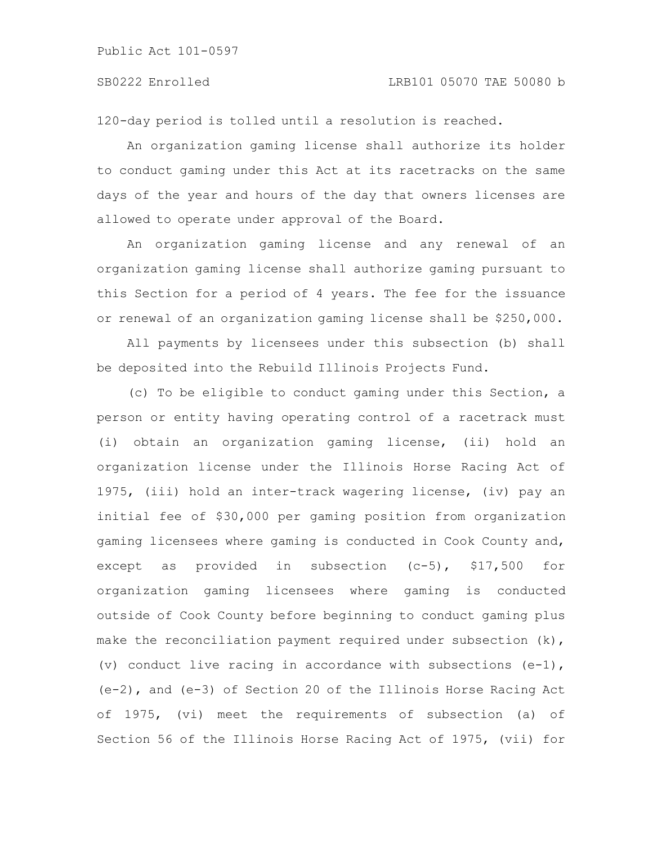#### SB0222 Enrolled LRB101 05070 TAE 50080 b

120-day period is tolled until a resolution is reached.

An organization gaming license shall authorize its holder to conduct gaming under this Act at its racetracks on the same days of the year and hours of the day that owners licenses are allowed to operate under approval of the Board.

An organization gaming license and any renewal of an organization gaming license shall authorize gaming pursuant to this Section for a period of 4 years. The fee for the issuance or renewal of an organization gaming license shall be \$250,000.

All payments by licensees under this subsection (b) shall be deposited into the Rebuild Illinois Projects Fund.

(c) To be eligible to conduct gaming under this Section, a person or entity having operating control of a racetrack must (i) obtain an organization gaming license, (ii) hold an organization license under the Illinois Horse Racing Act of 1975, (iii) hold an inter-track wagering license, (iv) pay an initial fee of \$30,000 per gaming position from organization gaming licensees where gaming is conducted in Cook County and, except as provided in subsection (c-5), \$17,500 for organization gaming licensees where gaming is conducted outside of Cook County before beginning to conduct gaming plus make the reconciliation payment required under subsection  $(k)$ , (v) conduct live racing in accordance with subsections (e-1), (e-2), and (e-3) of Section 20 of the Illinois Horse Racing Act of 1975, (vi) meet the requirements of subsection (a) of Section 56 of the Illinois Horse Racing Act of 1975, (vii) for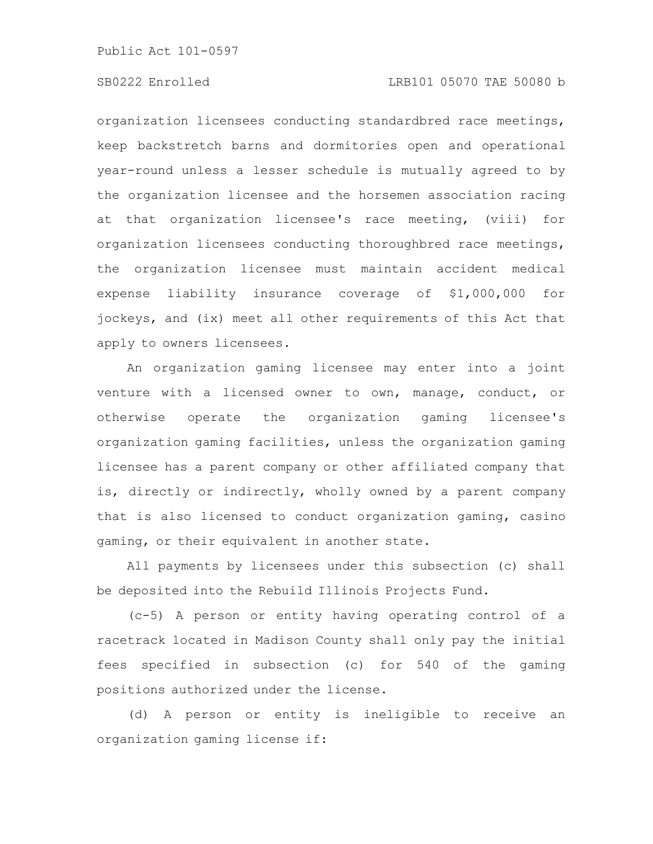## SB0222 Enrolled LRB101 05070 TAE 50080 b

organization licensees conducting standardbred race meetings, keep backstretch barns and dormitories open and operational year-round unless a lesser schedule is mutually agreed to by the organization licensee and the horsemen association racing at that organization licensee's race meeting, (viii) for organization licensees conducting thoroughbred race meetings, the organization licensee must maintain accident medical expense liability insurance coverage of \$1,000,000 for jockeys, and (ix) meet all other requirements of this Act that apply to owners licensees.

An organization gaming licensee may enter into a joint venture with a licensed owner to own, manage, conduct, or otherwise operate the organization gaming licensee's organization gaming facilities, unless the organization gaming licensee has a parent company or other affiliated company that is, directly or indirectly, wholly owned by a parent company that is also licensed to conduct organization gaming, casino gaming, or their equivalent in another state.

All payments by licensees under this subsection (c) shall be deposited into the Rebuild Illinois Projects Fund.

(c-5) A person or entity having operating control of a racetrack located in Madison County shall only pay the initial fees specified in subsection (c) for 540 of the gaming positions authorized under the license.

(d) A person or entity is ineligible to receive an organization gaming license if: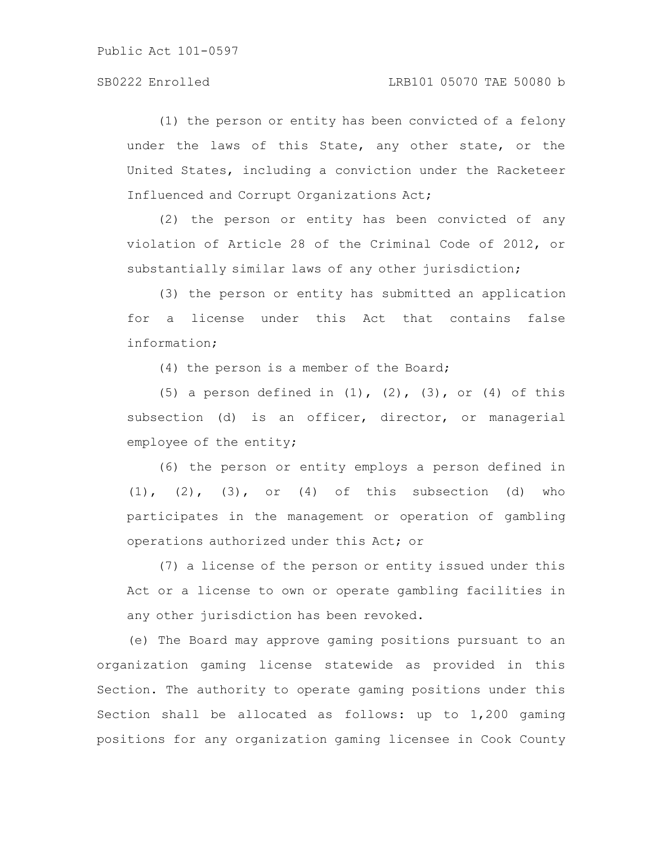(1) the person or entity has been convicted of a felony under the laws of this State, any other state, or the United States, including a conviction under the Racketeer Influenced and Corrupt Organizations Act;

(2) the person or entity has been convicted of any violation of Article 28 of the Criminal Code of 2012, or substantially similar laws of any other jurisdiction;

(3) the person or entity has submitted an application for a license under this Act that contains false information;

(4) the person is a member of the Board;

(5) a person defined in  $(1)$ ,  $(2)$ ,  $(3)$ , or  $(4)$  of this subsection (d) is an officer, director, or managerial employee of the entity;

(6) the person or entity employs a person defined in  $(1)$ ,  $(2)$ ,  $(3)$ , or  $(4)$  of this subsection  $(d)$  who participates in the management or operation of gambling operations authorized under this Act; or

(7) a license of the person or entity issued under this Act or a license to own or operate gambling facilities in any other jurisdiction has been revoked.

(e) The Board may approve gaming positions pursuant to an organization gaming license statewide as provided in this Section. The authority to operate gaming positions under this Section shall be allocated as follows: up to 1,200 gaming positions for any organization gaming licensee in Cook County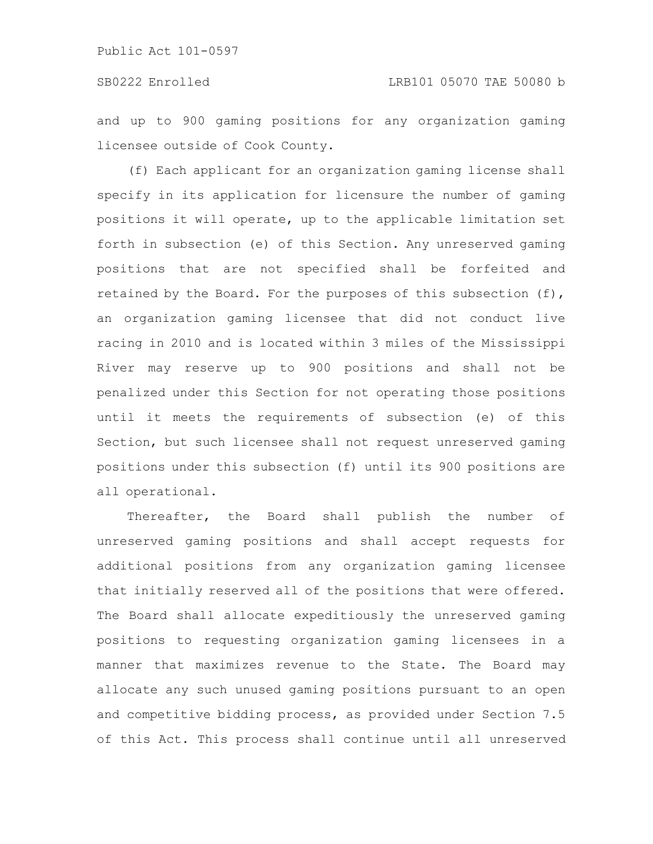and up to 900 gaming positions for any organization gaming licensee outside of Cook County.

(f) Each applicant for an organization gaming license shall specify in its application for licensure the number of gaming positions it will operate, up to the applicable limitation set forth in subsection (e) of this Section. Any unreserved gaming positions that are not specified shall be forfeited and retained by the Board. For the purposes of this subsection (f), an organization gaming licensee that did not conduct live racing in 2010 and is located within 3 miles of the Mississippi River may reserve up to 900 positions and shall not be penalized under this Section for not operating those positions until it meets the requirements of subsection (e) of this Section, but such licensee shall not request unreserved gaming positions under this subsection (f) until its 900 positions are all operational.

Thereafter, the Board shall publish the number of unreserved gaming positions and shall accept requests for additional positions from any organization gaming licensee that initially reserved all of the positions that were offered. The Board shall allocate expeditiously the unreserved gaming positions to requesting organization gaming licensees in a manner that maximizes revenue to the State. The Board may allocate any such unused gaming positions pursuant to an open and competitive bidding process, as provided under Section 7.5 of this Act. This process shall continue until all unreserved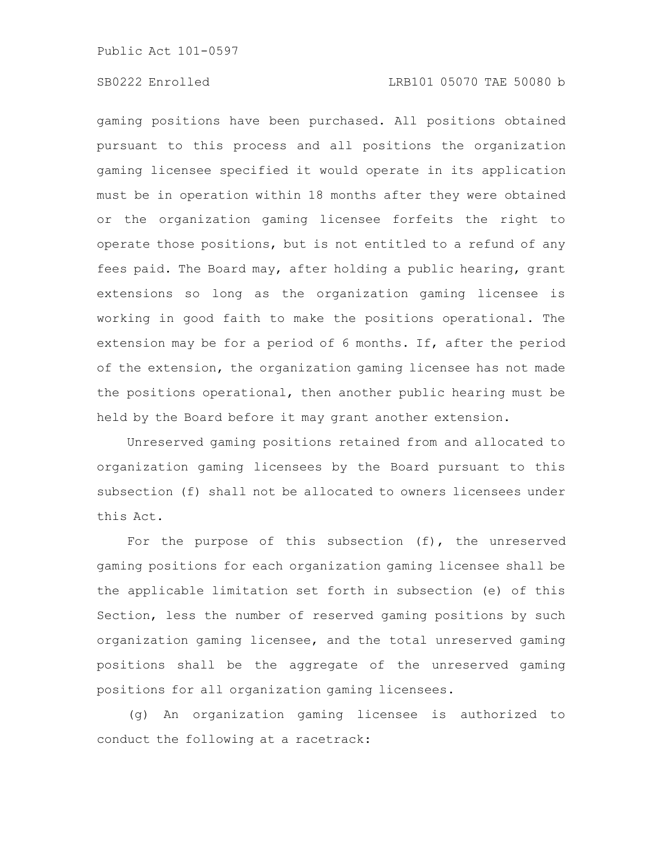## SB0222 Enrolled LRB101 05070 TAE 50080 b

gaming positions have been purchased. All positions obtained pursuant to this process and all positions the organization gaming licensee specified it would operate in its application must be in operation within 18 months after they were obtained or the organization gaming licensee forfeits the right to operate those positions, but is not entitled to a refund of any fees paid. The Board may, after holding a public hearing, grant extensions so long as the organization gaming licensee is working in good faith to make the positions operational. The extension may be for a period of 6 months. If, after the period of the extension, the organization gaming licensee has not made the positions operational, then another public hearing must be held by the Board before it may grant another extension.

Unreserved gaming positions retained from and allocated to organization gaming licensees by the Board pursuant to this subsection (f) shall not be allocated to owners licensees under this Act.

For the purpose of this subsection (f), the unreserved gaming positions for each organization gaming licensee shall be the applicable limitation set forth in subsection (e) of this Section, less the number of reserved gaming positions by such organization gaming licensee, and the total unreserved gaming positions shall be the aggregate of the unreserved gaming positions for all organization gaming licensees.

(g) An organization gaming licensee is authorized to conduct the following at a racetrack: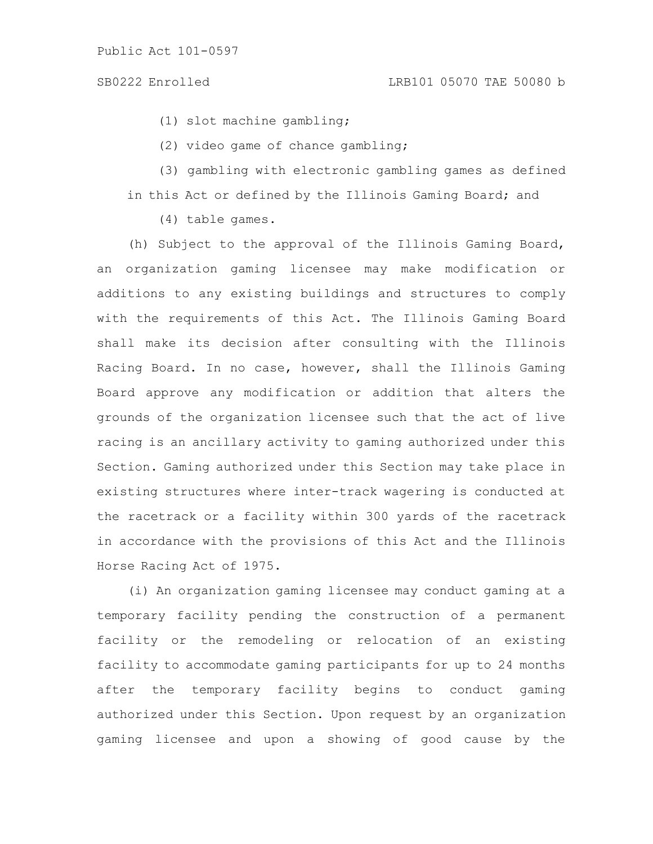(1) slot machine gambling;

(2) video game of chance gambling;

(3) gambling with electronic gambling games as defined in this Act or defined by the Illinois Gaming Board; and

(4) table games.

(h) Subject to the approval of the Illinois Gaming Board, an organization gaming licensee may make modification or additions to any existing buildings and structures to comply with the requirements of this Act. The Illinois Gaming Board shall make its decision after consulting with the Illinois Racing Board. In no case, however, shall the Illinois Gaming Board approve any modification or addition that alters the grounds of the organization licensee such that the act of live racing is an ancillary activity to gaming authorized under this Section. Gaming authorized under this Section may take place in existing structures where inter-track wagering is conducted at the racetrack or a facility within 300 yards of the racetrack in accordance with the provisions of this Act and the Illinois Horse Racing Act of 1975.

(i) An organization gaming licensee may conduct gaming at a temporary facility pending the construction of a permanent facility or the remodeling or relocation of an existing facility to accommodate gaming participants for up to 24 months after the temporary facility begins to conduct gaming authorized under this Section. Upon request by an organization gaming licensee and upon a showing of good cause by the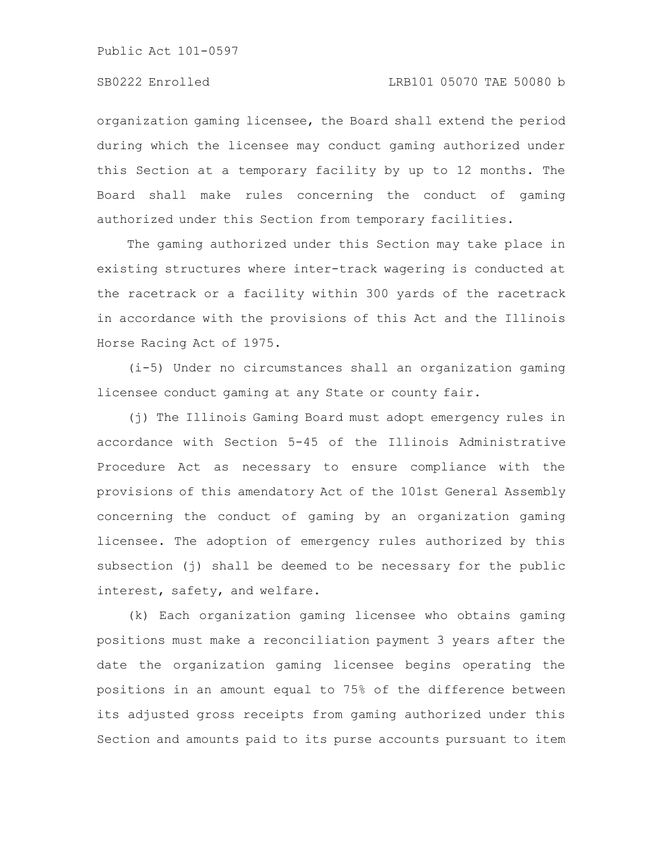organization gaming licensee, the Board shall extend the period during which the licensee may conduct gaming authorized under this Section at a temporary facility by up to 12 months. The Board shall make rules concerning the conduct of gaming authorized under this Section from temporary facilities.

The gaming authorized under this Section may take place in existing structures where inter-track wagering is conducted at the racetrack or a facility within 300 yards of the racetrack in accordance with the provisions of this Act and the Illinois Horse Racing Act of 1975.

(i-5) Under no circumstances shall an organization gaming licensee conduct gaming at any State or county fair.

(j) The Illinois Gaming Board must adopt emergency rules in accordance with Section 5-45 of the Illinois Administrative Procedure Act as necessary to ensure compliance with the provisions of this amendatory Act of the 101st General Assembly concerning the conduct of gaming by an organization gaming licensee. The adoption of emergency rules authorized by this subsection (j) shall be deemed to be necessary for the public interest, safety, and welfare.

(k) Each organization gaming licensee who obtains gaming positions must make a reconciliation payment 3 years after the date the organization gaming licensee begins operating the positions in an amount equal to 75% of the difference between its adjusted gross receipts from gaming authorized under this Section and amounts paid to its purse accounts pursuant to item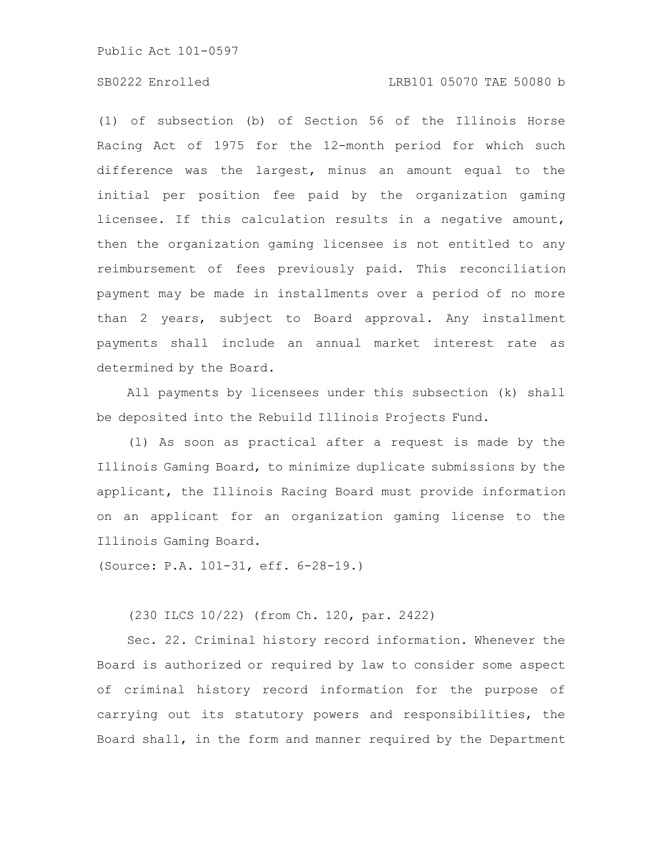#### SB0222 Enrolled LRB101 05070 TAE 50080 b

(1) of subsection (b) of Section 56 of the Illinois Horse Racing Act of 1975 for the 12-month period for which such difference was the largest, minus an amount equal to the initial per position fee paid by the organization gaming licensee. If this calculation results in a negative amount, then the organization gaming licensee is not entitled to any reimbursement of fees previously paid. This reconciliation payment may be made in installments over a period of no more than 2 years, subject to Board approval. Any installment payments shall include an annual market interest rate as determined by the Board.

All payments by licensees under this subsection (k) shall be deposited into the Rebuild Illinois Projects Fund.

(l) As soon as practical after a request is made by the Illinois Gaming Board, to minimize duplicate submissions by the applicant, the Illinois Racing Board must provide information on an applicant for an organization gaming license to the Illinois Gaming Board.

(Source: P.A. 101-31, eff. 6-28-19.)

(230 ILCS 10/22) (from Ch. 120, par. 2422)

Sec. 22. Criminal history record information. Whenever the Board is authorized or required by law to consider some aspect of criminal history record information for the purpose of carrying out its statutory powers and responsibilities, the Board shall, in the form and manner required by the Department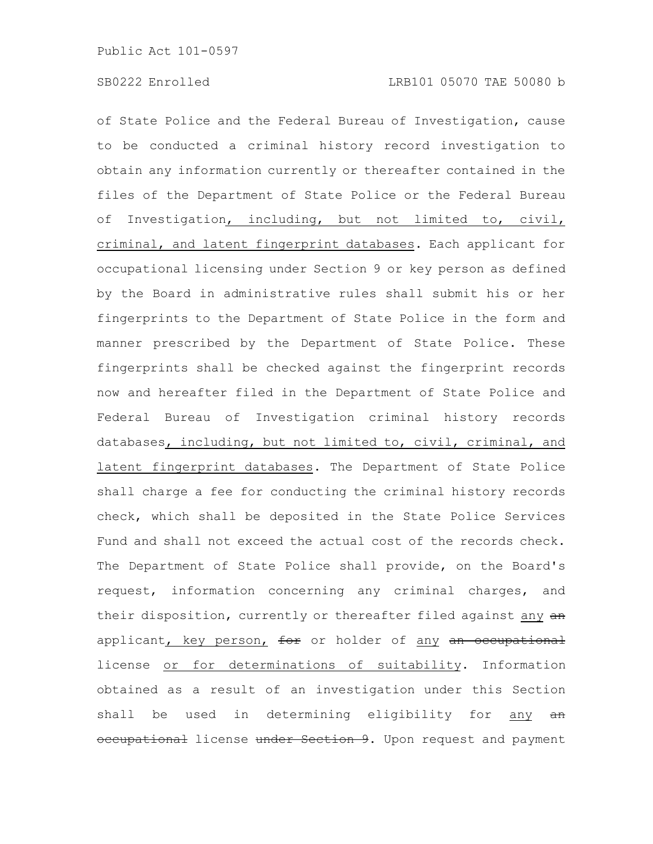of State Police and the Federal Bureau of Investigation, cause to be conducted a criminal history record investigation to obtain any information currently or thereafter contained in the files of the Department of State Police or the Federal Bureau of Investigation, including, but not limited to, civil, criminal, and latent fingerprint databases. Each applicant for occupational licensing under Section 9 or key person as defined by the Board in administrative rules shall submit his or her fingerprints to the Department of State Police in the form and manner prescribed by the Department of State Police. These fingerprints shall be checked against the fingerprint records now and hereafter filed in the Department of State Police and Federal Bureau of Investigation criminal history records databases, including, but not limited to, civil, criminal, and latent fingerprint databases. The Department of State Police shall charge a fee for conducting the criminal history records check, which shall be deposited in the State Police Services Fund and shall not exceed the actual cost of the records check. The Department of State Police shall provide, on the Board's request, information concerning any criminal charges, and their disposition, currently or thereafter filed against any an applicant, key person, for or holder of any an occupational license or for determinations of suitability. Information obtained as a result of an investigation under this Section shall be used in determining eligibility for any an occupational license under Section 9. Upon request and payment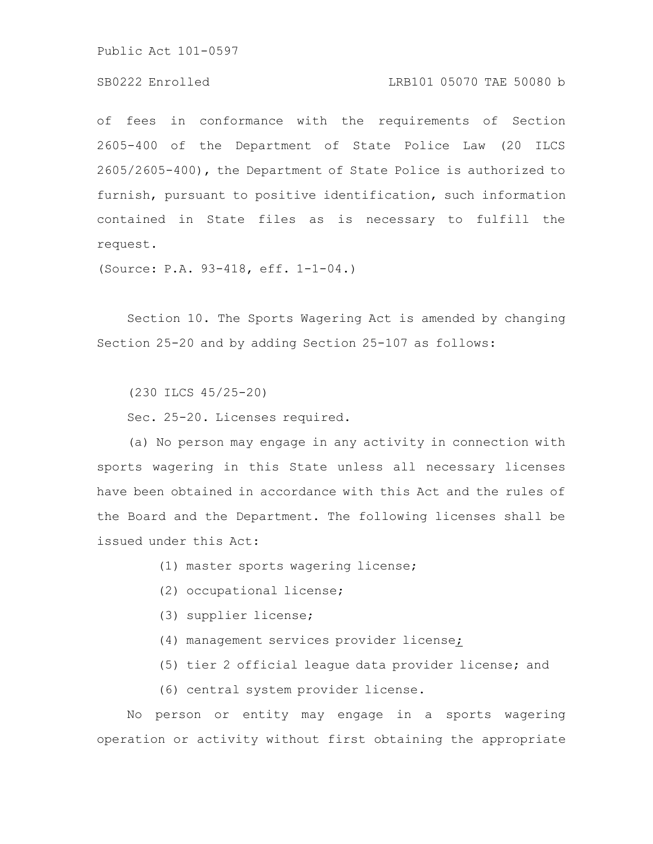### SB0222 Enrolled LRB101 05070 TAE 50080 b

of fees in conformance with the requirements of Section 2605-400 of the Department of State Police Law (20 ILCS 2605/2605-400), the Department of State Police is authorized to furnish, pursuant to positive identification, such information contained in State files as is necessary to fulfill the request.

(Source: P.A. 93-418, eff. 1-1-04.)

Section 10. The Sports Wagering Act is amended by changing Section 25-20 and by adding Section 25-107 as follows:

(230 ILCS 45/25-20)

Sec. 25-20. Licenses required.

(a) No person may engage in any activity in connection with sports wagering in this State unless all necessary licenses have been obtained in accordance with this Act and the rules of the Board and the Department. The following licenses shall be issued under this Act:

- (1) master sports wagering license;
- (2) occupational license;
- (3) supplier license;
- (4) management services provider license;
- (5) tier 2 official league data provider license; and
- (6) central system provider license.

No person or entity may engage in a sports wagering operation or activity without first obtaining the appropriate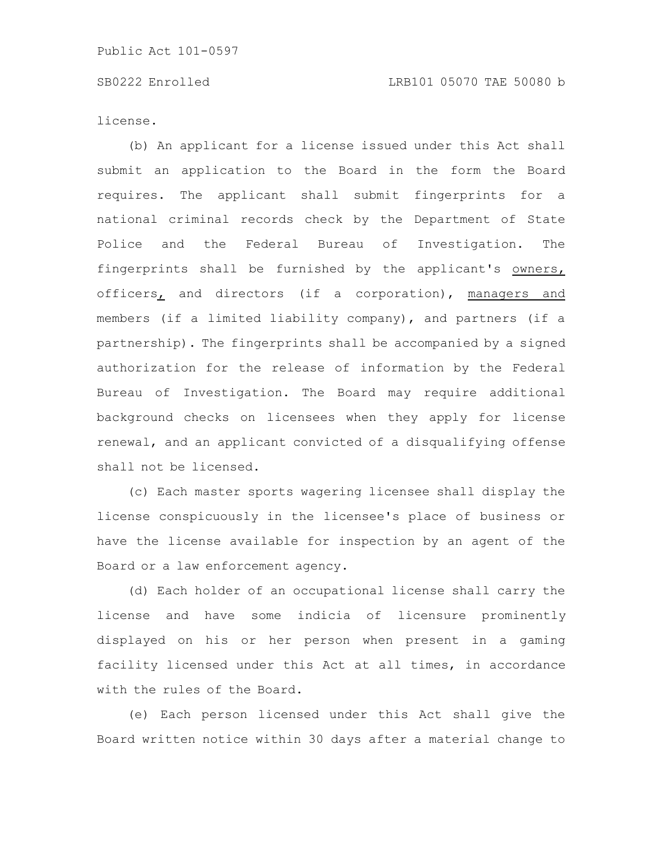license.

(b) An applicant for a license issued under this Act shall submit an application to the Board in the form the Board requires. The applicant shall submit fingerprints for a national criminal records check by the Department of State Police and the Federal Bureau of Investigation. The fingerprints shall be furnished by the applicant's owners, officers, and directors (if a corporation), managers and members (if a limited liability company), and partners (if a partnership). The fingerprints shall be accompanied by a signed authorization for the release of information by the Federal Bureau of Investigation. The Board may require additional background checks on licensees when they apply for license renewal, and an applicant convicted of a disqualifying offense shall not be licensed.

(c) Each master sports wagering licensee shall display the license conspicuously in the licensee's place of business or have the license available for inspection by an agent of the Board or a law enforcement agency.

(d) Each holder of an occupational license shall carry the license and have some indicia of licensure prominently displayed on his or her person when present in a gaming facility licensed under this Act at all times, in accordance with the rules of the Board.

(e) Each person licensed under this Act shall give the Board written notice within 30 days after a material change to